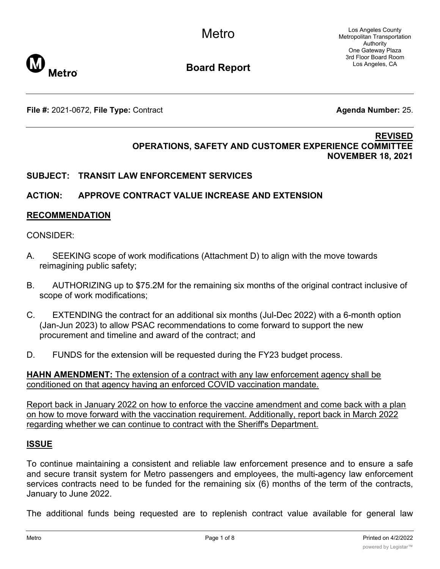Los Angeles County Metropolitan Transportation Authority One Gateway Plaza 3rd Floor Board Room Los Angeles, CA



**Board Report**

**File #:** 2021-0672, File Type: Contract **Agents Agenda Number:** 25.

#### **REVISED OPERATIONS, SAFETY AND CUSTOMER EXPERIENCE COMMITTEE NOVEMBER 18, 2021**

# **SUBJECT: TRANSIT LAW ENFORCEMENT SERVICES**

# **ACTION: APPROVE CONTRACT VALUE INCREASE AND EXTENSION**

### **RECOMMENDATION**

#### CONSIDER:

- A. SEEKING scope of work modifications (Attachment D) to align with the move towards reimagining public safety;
- B. AUTHORIZING up to \$75.2M for the remaining six months of the original contract inclusive of scope of work modifications;
- C. EXTENDING the contract for an additional six months (Jul-Dec 2022) with a 6-month option (Jan-Jun 2023) to allow PSAC recommendations to come forward to support the new procurement and timeline and award of the contract; and
- D. FUNDS for the extension will be requested during the FY23 budget process.

**HAHN AMENDMENT:** The extension of a contract with any law enforcement agency shall be conditioned on that agency having an enforced COVID vaccination mandate.

Report back in January 2022 on how to enforce the vaccine amendment and come back with a plan on how to move forward with the vaccination requirement. Additionally, report back in March 2022 regarding whether we can continue to contract with the Sheriff's Department.

### **ISSUE**

To continue maintaining a consistent and reliable law enforcement presence and to ensure a safe and secure transit system for Metro passengers and employees, the multi-agency law enforcement services contracts need to be funded for the remaining six (6) months of the term of the contracts, January to June 2022.

The additional funds being requested are to replenish contract value available for general law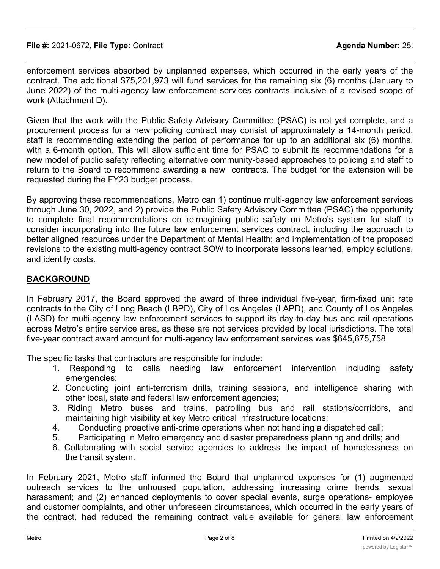enforcement services absorbed by unplanned expenses, which occurred in the early years of the contract. The additional \$75,201,973 will fund services for the remaining six (6) months (January to June 2022) of the multi-agency law enforcement services contracts inclusive of a revised scope of work (Attachment D).

Given that the work with the Public Safety Advisory Committee (PSAC) is not yet complete, and a procurement process for a new policing contract may consist of approximately a 14-month period, staff is recommending extending the period of performance for up to an additional six (6) months, with a 6-month option. This will allow sufficient time for PSAC to submit its recommendations for a new model of public safety reflecting alternative community-based approaches to policing and staff to return to the Board to recommend awarding a new contracts. The budget for the extension will be requested during the FY23 budget process.

By approving these recommendations, Metro can 1) continue multi-agency law enforcement services through June 30, 2022, and 2) provide the Public Safety Advisory Committee (PSAC) the opportunity to complete final recommendations on reimagining public safety on Metro's system for staff to consider incorporating into the future law enforcement services contract, including the approach to better aligned resources under the Department of Mental Health; and implementation of the proposed revisions to the existing multi-agency contract SOW to incorporate lessons learned, employ solutions, and identify costs.

# **BACKGROUND**

In February 2017, the Board approved the award of three individual five-year, firm-fixed unit rate contracts to the City of Long Beach (LBPD), City of Los Angeles (LAPD), and County of Los Angeles (LASD) for multi-agency law enforcement services to support its day-to-day bus and rail operations across Metro's entire service area, as these are not services provided by local jurisdictions. The total five-year contract award amount for multi-agency law enforcement services was \$645,675,758.

The specific tasks that contractors are responsible for include:

- 1. Responding to calls needing law enforcement intervention including safety emergencies;
- 2. Conducting joint anti-terrorism drills, training sessions, and intelligence sharing with other local, state and federal law enforcement agencies;
- 3. Riding Metro buses and trains, patrolling bus and rail stations/corridors, and maintaining high visibility at key Metro critical infrastructure locations;
- 4. Conducting proactive anti-crime operations when not handling a dispatched call;
- 5. Participating in Metro emergency and disaster preparedness planning and drills; and
- 6. Collaborating with social service agencies to address the impact of homelessness on the transit system.

In February 2021, Metro staff informed the Board that unplanned expenses for (1) augmented outreach services to the unhoused population, addressing increasing crime trends, sexual harassment; and (2) enhanced deployments to cover special events, surge operations- employee and customer complaints, and other unforeseen circumstances, which occurred in the early years of the contract, had reduced the remaining contract value available for general law enforcement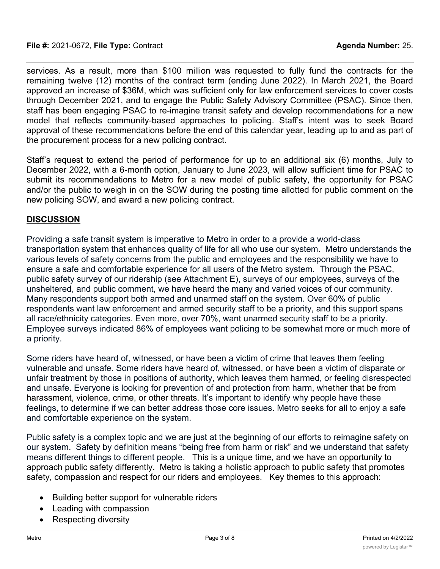#### **File #:** 2021-0672, **File Type:** Contract **Agenda Number:** 25.

services. As a result, more than \$100 million was requested to fully fund the contracts for the remaining twelve (12) months of the contract term (ending June 2022). In March 2021, the Board approved an increase of \$36M, which was sufficient only for law enforcement services to cover costs through December 2021, and to engage the Public Safety Advisory Committee (PSAC). Since then, staff has been engaging PSAC to re-imagine transit safety and develop recommendations for a new model that reflects community-based approaches to policing. Staff's intent was to seek Board approval of these recommendations before the end of this calendar year, leading up to and as part of the procurement process for a new policing contract.

Staff's request to extend the period of performance for up to an additional six (6) months, July to December 2022, with a 6-month option, January to June 2023, will allow sufficient time for PSAC to submit its recommendations to Metro for a new model of public safety, the opportunity for PSAC and/or the public to weigh in on the SOW during the posting time allotted for public comment on the new policing SOW, and award a new policing contract.

# **DISCUSSION**

Providing a safe transit system is imperative to Metro in order to a provide a world-class transportation system that enhances quality of life for all who use our system. Metro understands the various levels of safety concerns from the public and employees and the responsibility we have to ensure a safe and comfortable experience for all users of the Metro system. Through the PSAC, public safety survey of our ridership (see Attachment E), surveys of our employees, surveys of the unsheltered, and public comment, we have heard the many and varied voices of our community. Many respondents support both armed and unarmed staff on the system. Over 60% of public respondents want law enforcement and armed security staff to be a priority, and this support spans all race/ethnicity categories. Even more, over 70%, want unarmed security staff to be a priority. Employee surveys indicated 86% of employees want policing to be somewhat more or much more of a priority.

Some riders have heard of, witnessed, or have been a victim of crime that leaves them feeling vulnerable and unsafe. Some riders have heard of, witnessed, or have been a victim of disparate or unfair treatment by those in positions of authority, which leaves them harmed, or feeling disrespected and unsafe. Everyone is looking for prevention of and protection from harm, whether that be from harassment, violence, crime, or other threats. It's important to identify why people have these feelings, to determine if we can better address those core issues. Metro seeks for all to enjoy a safe and comfortable experience on the system.

Public safety is a complex topic and we are just at the beginning of our efforts to reimagine safety on our system. Safety by definition means "being free from harm or risk" and we understand that safety means different things to different people. This is a unique time, and we have an opportunity to approach public safety differently. Metro is taking a holistic approach to public safety that promotes safety, compassion and respect for our riders and employees. Key themes to this approach:

- · Building better support for vulnerable riders
- Leading with compassion
- Respecting diversity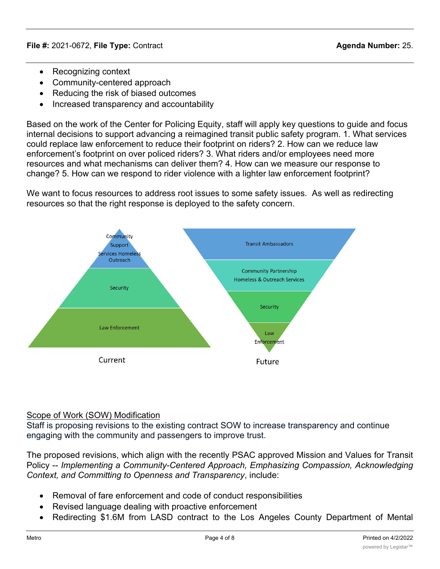- · Recognizing context
- · Community-centered approach
- · Reducing the risk of biased outcomes
- · Increased transparency and accountability

Based on the work of the Center for Policing Equity, staff will apply key questions to guide and focus internal decisions to support advancing a reimagined transit public safety program. 1. What services could replace law enforcement to reduce their footprint on riders? 2. How can we reduce law enforcement's footprint on over policed riders? 3. What riders and/or employees need more resources and what mechanisms can deliver them? 4. How can we measure our response to change? 5. How can we respond to rider violence with a lighter law enforcement footprint?

We want to focus resources to address root issues to some safety issues. As well as redirecting resources so that the right response is deployed to the safety concern.



### Scope of Work (SOW) Modification

Staff is proposing revisions to the existing contract SOW to increase transparency and continue engaging with the community and passengers to improve trust.

The proposed revisions, which align with the recently PSAC approved Mission and Values for Transit Policy -- *Implementing a Community-Centered Approach, Emphasizing Compassion, Acknowledging Context, and Committing to Openness and Transparency*, include:

- · Removal of fare enforcement and code of conduct responsibilities
- · Revised language dealing with proactive enforcement
- Redirecting \$1.6M from LASD contract to the Los Angeles County Department of Mental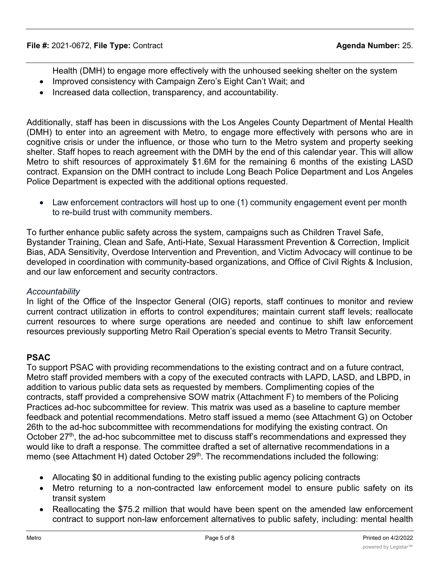- Health (DMH) to engage more effectively with the unhoused seeking shelter on the system
- Improved consistency with Campaign Zero's Eight Can't Wait; and
- · Increased data collection, transparency, and accountability.

Additionally, staff has been in discussions with the Los Angeles County Department of Mental Health (DMH) to enter into an agreement with Metro, to engage more effectively with persons who are in cognitive crisis or under the influence, or those who turn to the Metro system and property seeking shelter. Staff hopes to reach agreement with the DMH by the end of this calendar year. This will allow Metro to shift resources of approximately \$1.6M for the remaining 6 months of the existing LASD contract. Expansion on the DMH contract to include Long Beach Police Department and Los Angeles Police Department is expected with the additional options requested.

• Law enforcement contractors will host up to one (1) community engagement event per month to re-build trust with community members.

To further enhance public safety across the system, campaigns such as Children Travel Safe, Bystander Training, Clean and Safe, Anti-Hate, Sexual Harassment Prevention & Correction, Implicit Bias, ADA Sensitivity, Overdose Intervention and Prevention, and Victim Advocacy will continue to be developed in coordination with community-based organizations, and Office of Civil Rights & Inclusion, and our law enforcement and security contractors.

### *Accountability*

In light of the Office of the Inspector General (OIG) reports, staff continues to monitor and review current contract utilization in efforts to control expenditures; maintain current staff levels; reallocate current resources to where surge operations are needed and continue to shift law enforcement resources previously supporting Metro Rail Operation's special events to Metro Transit Security.

# **PSAC**

To support PSAC with providing recommendations to the existing contract and on a future contract, Metro staff provided members with a copy of the executed contracts with LAPD, LASD, and LBPD, in addition to various public data sets as requested by members. Complimenting copies of the contracts, staff provided a comprehensive SOW matrix (Attachment F) to members of the Policing Practices ad-hoc subcommittee for review. This matrix was used as a baseline to capture member feedback and potential recommendations. Metro staff issued a memo (see Attachment G) on October 26th to the ad-hoc subcommittee with recommendations for modifying the existing contract. On October  $27<sup>th</sup>$ , the ad-hoc subcommittee met to discuss staff's recommendations and expressed they would like to draft a response. The committee drafted a set of alternative recommendations in a memo (see Attachment H) dated October 29<sup>th</sup>. The recommendations included the following:

- Allocating \$0 in additional funding to the existing public agency policing contracts
- Metro returning to a non-contracted law enforcement model to ensure public safety on its transit system
- Reallocating the \$75.2 million that would have been spent on the amended law enforcement contract to support non-law enforcement alternatives to public safety, including: mental health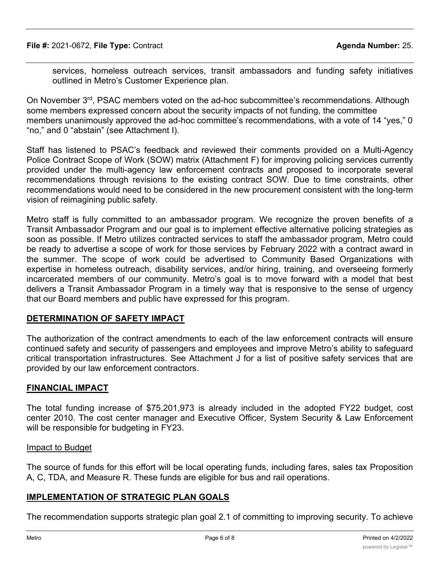services, homeless outreach services, transit ambassadors and funding safety initiatives outlined in Metro's Customer Experience plan.

On November 3<sup>rd</sup>, PSAC members voted on the ad-hoc subcommittee's recommendations. Although some members expressed concern about the security impacts of not funding, the committee members unanimously approved the ad-hoc committee's recommendations, with a vote of 14 "yes," 0 "no," and 0 "abstain" (see Attachment I).

Staff has listened to PSAC's feedback and reviewed their comments provided on a Multi-Agency Police Contract Scope of Work (SOW) matrix (Attachment F) for improving policing services currently provided under the multi-agency law enforcement contracts and proposed to incorporate several recommendations through revisions to the existing contract SOW. Due to time constraints, other recommendations would need to be considered in the new procurement consistent with the long-term vision of reimagining public safety.

Metro staff is fully committed to an ambassador program. We recognize the proven benefits of a Transit Ambassador Program and our goal is to implement effective alternative policing strategies as soon as possible. If Metro utilizes contracted services to staff the ambassador program, Metro could be ready to advertise a scope of work for those services by February 2022 with a contract award in the summer. The scope of work could be advertised to Community Based Organizations with expertise in homeless outreach, disability services, and/or hiring, training, and overseeing formerly incarcerated members of our community. Metro's goal is to move forward with a model that best delivers a Transit Ambassador Program in a timely way that is responsive to the sense of urgency that our Board members and public have expressed for this program.

### **DETERMINATION OF SAFETY IMPACT**

The authorization of the contract amendments to each of the law enforcement contracts will ensure continued safety and security of passengers and employees and improve Metro's ability to safeguard critical transportation infrastructures. See Attachment J for a list of positive safety services that are provided by our law enforcement contractors.

### **FINANCIAL IMPACT**

The total funding increase of \$75,201,973 is already included in the adopted FY22 budget, cost center 2010. The cost center manager and Executive Officer, System Security & Law Enforcement will be responsible for budgeting in FY23.

#### Impact to Budget

The source of funds for this effort will be local operating funds, including fares, sales tax Proposition A, C, TDA, and Measure R. These funds are eligible for bus and rail operations.

### **IMPLEMENTATION OF STRATEGIC PLAN GOALS**

The recommendation supports strategic plan goal 2.1 of committing to improving security. To achieve this goal, Metro will rely on a multi-layered, integrated security program that comprises technology,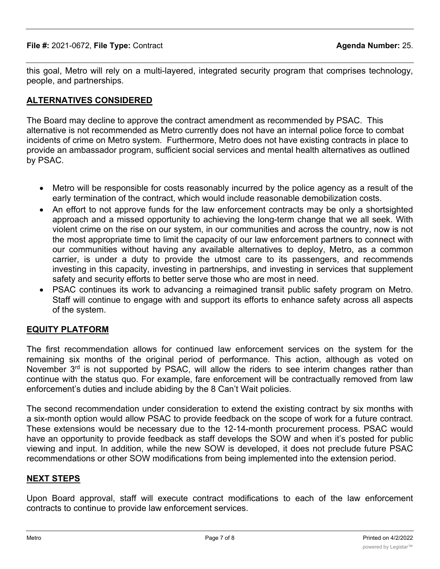this goal, Metro will rely on a multi-layered, integrated security program that comprises technology, people, and partnerships.

# **ALTERNATIVES CONSIDERED**

The Board may decline to approve the contract amendment as recommended by PSAC. This alternative is not recommended as Metro currently does not have an internal police force to combat incidents of crime on Metro system. Furthermore, Metro does not have existing contracts in place to provide an ambassador program, sufficient social services and mental health alternatives as outlined by PSAC.

- · Metro will be responsible for costs reasonably incurred by the police agency as a result of the early termination of the contract, which would include reasonable demobilization costs.
- An effort to not approve funds for the law enforcement contracts may be only a shortsighted approach and a missed opportunity to achieving the long-term change that we all seek. With violent crime on the rise on our system, in our communities and across the country, now is not the most appropriate time to limit the capacity of our law enforcement partners to connect with our communities without having any available alternatives to deploy, Metro, as a common carrier, is under a duty to provide the utmost care to its passengers, and recommends investing in this capacity, investing in partnerships, and investing in services that supplement safety and security efforts to better serve those who are most in need.
- · PSAC continues its work to advancing a reimagined transit public safety program on Metro. Staff will continue to engage with and support its efforts to enhance safety across all aspects of the system.

### **EQUITY PLATFORM**

The first recommendation allows for continued law enforcement services on the system for the remaining six months of the original period of performance. This action, although as voted on November  $3<sup>rd</sup>$  is not supported by PSAC, will allow the riders to see interim changes rather than continue with the status quo. For example, fare enforcement will be contractually removed from law enforcement's duties and include abiding by the 8 Can't Wait policies.

The second recommendation under consideration to extend the existing contract by six months with a six-month option would allow PSAC to provide feedback on the scope of work for a future contract. These extensions would be necessary due to the 12-14-month procurement process. PSAC would have an opportunity to provide feedback as staff develops the SOW and when it's posted for public viewing and input. In addition, while the new SOW is developed, it does not preclude future PSAC recommendations or other SOW modifications from being implemented into the extension period.

### **NEXT STEPS**

Upon Board approval, staff will execute contract modifications to each of the law enforcement contracts to continue to provide law enforcement services.